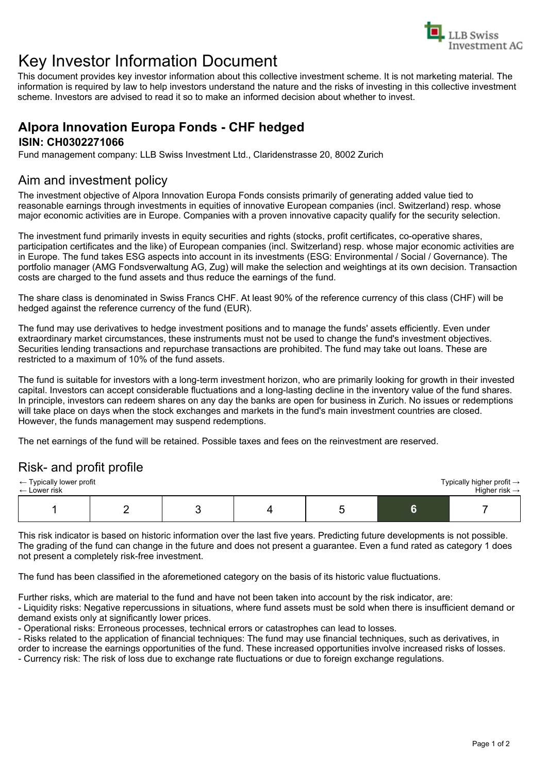

# Key Investor Information Document

This document provides key investor information about this collective investment scheme. It is not marketing material. The information is required by law to help investors understand the nature and the risks of investing in this collective investment scheme. Investors are advised to read it so to make an informed decision about whether to invest.

## **Alpora Innovation Europa Fonds - CHF hedged ISIN: CH0302271066**

Fund management company: LLB Swiss Investment Ltd., Claridenstrasse 20, 8002 Zurich

## Aim and investment policy

The investment objective of Alpora Innovation Europa Fonds consists primarily of generating added value tied to reasonable earnings through investments in equities of innovative European companies (incl. Switzerland) resp. whose major economic activities are in Europe. Companies with a proven innovative capacity qualify for the security selection.

The investment fund primarily invests in equity securities and rights (stocks, profit certificates, co-operative shares, participation certificates and the like) of European companies (incl. Switzerland) resp. whose major economic activities are in Europe. The fund takes ESG aspects into account in its investments (ESG: Environmental / Social / Governance). The portfolio manager (AMG Fondsverwaltung AG, Zug) will make the selection and weightings at its own decision. Transaction costs are charged to the fund assets and thus reduce the earnings of the fund.

The share class is denominated in Swiss Francs CHF. At least 90% of the reference currency of this class (CHF) will be hedged against the reference currency of the fund (EUR).

The fund may use derivatives to hedge investment positions and to manage the funds' assets efficiently. Even under extraordinary market circumstances, these instruments must not be used to change the fund's investment objectives. Securities lending transactions and repurchase transactions are prohibited. The fund may take out loans. These are restricted to a maximum of 10% of the fund assets.

The fund is suitable for investors with a long-term investment horizon, who are primarily looking for growth in their invested capital. Investors can accept considerable fluctuations and a long-lasting decline in the inventory value of the fund shares. In principle, investors can redeem shares on any day the banks are open for business in Zurich. No issues or redemptions will take place on days when the stock exchanges and markets in the fund's main investment countries are closed. However, the funds management may suspend redemptions.

The net earnings of the fund will be retained. Possible taxes and fees on the reinvestment are reserved.

## Risk- and profit profile

| $\leftarrow$ Typically lower profit |  |  |  |  |  | Typically higher profit $\rightarrow$ |
|-------------------------------------|--|--|--|--|--|---------------------------------------|
| $\leftarrow$ Lower risk             |  |  |  |  |  | Higher risk $\rightarrow$             |
|                                     |  |  |  |  |  |                                       |

This risk indicator is based on historic information over the last five years. Predicting future developments is not possible. The grading of the fund can change in the future and does not present a guarantee. Even a fund rated as category 1 does not present a completely risk-free investment.

The fund has been classified in the aforemetioned category on the basis of its historic value fluctuations.

Further risks, which are material to the fund and have not been taken into account by the risk indicator, are:

- Liquidity risks: Negative repercussions in situations, where fund assets must be sold when there is insufficient demand or demand exists only at significantly lower prices.

- Operational risks: Erroneous processes, technical errors or catastrophes can lead to losses.

- Risks related to the application of financial techniques: The fund may use financial techniques, such as derivatives, in order to increase the earnings opportunities of the fund. These increased opportunities involve increased risks of losses.

- Currency risk: The risk of loss due to exchange rate fluctuations or due to foreign exchange regulations.